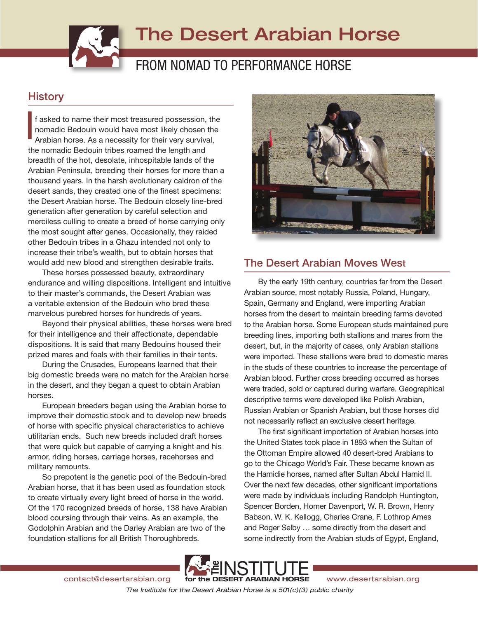# The Desert Arabian Horse

## FROM NOMAD TO PERFORMANCE HORSE

## **History**

f asked to name their most treasured possession, the nomadic Bedouin would have most likely chosen the Arabian horse. As a necessity for their very survival, the nomadic Bedouin tribes roamed the length and breadth of the hot, desolate, inhospitable lands of the Arabian Peninsula, breeding their horses for more than a thousand years. In the harsh evolutionary caldron of the desert sands, they created one of the finest specimens: the Desert Arabian horse. The Bedouin closely line-bred generation after generation by careful selection and merciless culling to create a breed of horse carrying only the most sought after genes. Occasionally, they raided other Bedouin tribes in a Ghazu intended not only to increase their tribe's wealth, but to obtain horses that would add new blood and strengthen desirable traits. I

These horses possessed beauty, extraordinary endurance and willing dispositions. Intelligent and intuitive to their master's commands, the Desert Arabian was a veritable extension of the Bedouin who bred these marvelous purebred horses for hundreds of years.

Beyond their physical abilities, these horses were bred for their intelligence and their affectionate, dependable dispositions. It is said that many Bedouins housed their prized mares and foals with their families in their tents.

During the Crusades, Europeans learned that their big domestic breeds were no match for the Arabian horse in the desert, and they began a quest to obtain Arabian horses.

European breeders began using the Arabian horse to improve their domestic stock and to develop new breeds of horse with specific physical characteristics to achieve utilitarian ends. Such new breeds included draft horses that were quick but capable of carrying a knight and his armor, riding horses, carriage horses, racehorses and military remounts.

So prepotent is the genetic pool of the Bedouin-bred Arabian horse, that it has been used as foundation stock to create virtually every light breed of horse in the world. Of the 170 recognized breeds of horse, 138 have Arabian blood coursing through their veins. As an example, the Godolphin Arabian and the Darley Arabian are two of the foundation stallions for all British Thoroughbreds.



### The Desert Arabian Moves West

By the early 19th century, countries far from the Desert Arabian source, most notably Russia, Poland, Hungary, Spain, Germany and England, were importing Arabian horses from the desert to maintain breeding farms devoted to the Arabian horse. Some European studs maintained pure breeding lines, importing both stallions and mares from the desert, but, in the majority of cases, only Arabian stallions were imported. These stallions were bred to domestic mares in the studs of these countries to increase the percentage of Arabian blood. Further cross breeding occurred as horses were traded, sold or captured during warfare. Geographical descriptive terms were developed like Polish Arabian, Russian Arabian or Spanish Arabian, but those horses did not necessarily reflect an exclusive desert heritage.

The first significant importation of Arabian horses into the United States took place in 1893 when the Sultan of the Ottoman Empire allowed 40 desert-bred Arabians to go to the Chicago World's Fair. These became known as the Hamidie horses, named after Sultan Abdul Hamid II. Over the next few decades, other significant importations were made by individuals including Randolph Huntington, Spencer Borden, Homer Davenport, W. R. Brown, Henry Babson, W. K. Kellogg, Charles Crane, F. Lothrop Ames and Roger Selby … some directly from the desert and some indirectly from the Arabian studs of Egypt, England,



*The Institute for the Desert Arabian Horse is a 501(c)(3) public charity*